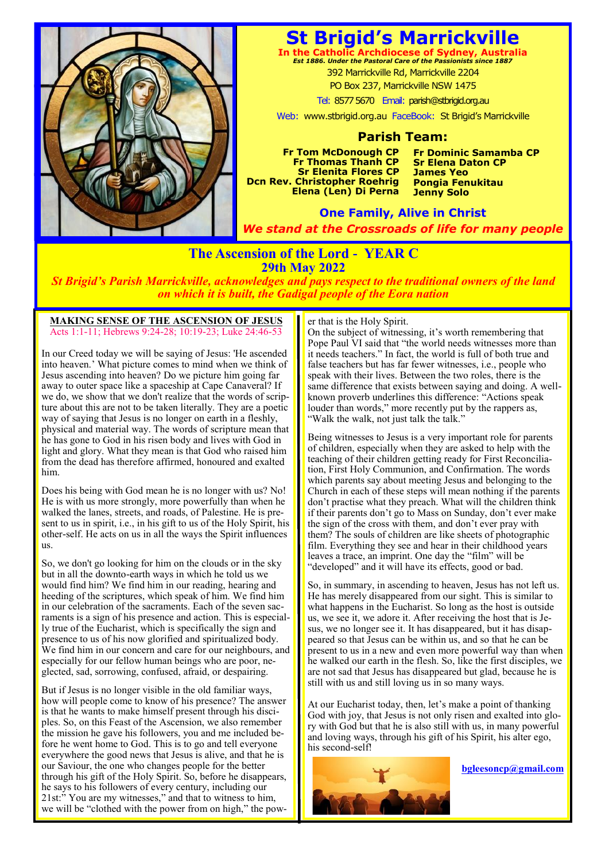

# **St Brigid's Marrickville**

**In the Catholic Archdiocese of Sydney, Australia** *Est 1886. Under the Pastoral Care of the Passionists since 1887* 392 Marrickville Rd, Marrickville 2204

PO Box 237, Marrickville NSW 1475

Tel: 8577 5670 Email: parish@stbrigid.org.au

Web: www.stbrigid.org.au FaceBook: St Brigid's Marrickville

## **Parish Team:**

**Fr Tom McDonough CP Fr Thomas Thanh CP Sr Elenita Flores CP Dcn Rev. Christopher Roehrig Elena (Len) Di Perna**  **Fr Dominic Samamba CP Sr Elena Daton CP James Yeo Pongia Fenukitau Jenny Solo**

**One Family, Alive in Christ** *We stand at the Crossroads of life for many people*

## **The Ascension of the Lord - YEAR C 29th May 2022**

*St Brigid's Parish Marrickville, acknowledges and pays respect to the traditional owners of the land on which it is built, the Gadigal people of the Eora nation*

#### **MAKING SENSE OF THE ASCENSION OF JESUS** Acts 1:1-11; Hebrews 9:24-28; 10:19-23; Luke 24:46-53

In our Creed today we will be saying of Jesus: 'He ascended into heaven.' What picture comes to mind when we think of Jesus ascending into heaven? Do we picture him going far away to outer space like a spaceship at Cape Canaveral? If we do, we show that we don't realize that the words of scripture about this are not to be taken literally. They are a poetic way of saying that Jesus is no longer on earth in a fleshly, physical and material way. The words of scripture mean that he has gone to God in his risen body and lives with God in light and glory. What they mean is that God who raised him from the dead has therefore affirmed, honoured and exalted him.

Does his being with God mean he is no longer with us? No! He is with us more strongly, more powerfully than when he walked the lanes, streets, and roads, of Palestine. He is present to us in spirit, i.e., in his gift to us of the Holy Spirit, his other-self. He acts on us in all the ways the Spirit influences us.

So, we don't go looking for him on the clouds or in the sky but in all the downto-earth ways in which he told us we would find him? We find him in our reading, hearing and heeding of the scriptures, which speak of him. We find him in our celebration of the sacraments. Each of the seven sacraments is a sign of his presence and action. This is especially true of the Eucharist, which is specifically the sign and presence to us of his now glorified and spiritualized body. We find him in our concern and care for our neighbours, and especially for our fellow human beings who are poor, neglected, sad, sorrowing, confused, afraid, or despairing.

But if Jesus is no longer visible in the old familiar ways, how will people come to know of his presence? The answer is that he wants to make himself present through his disciples. So, on this Feast of the Ascension, we also remember the mission he gave his followers, you and me included before he went home to God. This is to go and tell everyone everywhere the good news that Jesus is alive, and that he is our Saviour, the one who changes people for the better through his gift of the Holy Spirit. So, before he disappears, he says to his followers of every century, including our 21st:" You are my witnesses," and that to witness to him, we will be "clothed with the power from on high," the pow-

#### er that is the Holy Spirit.

On the subject of witnessing, it's worth remembering that Pope Paul VI said that "the world needs witnesses more than it needs teachers." In fact, the world is full of both true and false teachers but has far fewer witnesses, i.e., people who speak with their lives. Between the two roles, there is the same difference that exists between saying and doing. A wellknown proverb underlines this difference: "Actions speak louder than words," more recently put by the rappers as, "Walk the walk, not just talk the talk."

Being witnesses to Jesus is a very important role for parents of children, especially when they are asked to help with the teaching of their children getting ready for First Reconciliation, First Holy Communion, and Confirmation. The words which parents say about meeting Jesus and belonging to the Church in each of these steps will mean nothing if the parents don't practise what they preach. What will the children think if their parents don't go to Mass on Sunday, don't ever make the sign of the cross with them, and don't ever pray with them? The souls of children are like sheets of photographic film. Everything they see and hear in their childhood years leaves a trace, an imprint. One day the "film" will be "developed" and it will have its effects, good or bad.

So, in summary, in ascending to heaven, Jesus has not left us. He has merely disappeared from our sight. This is similar to what happens in the Eucharist. So long as the host is outside us, we see it, we adore it. After receiving the host that is Jesus, we no longer see it. It has disappeared, but it has disappeared so that Jesus can be within us, and so that he can be present to us in a new and even more powerful way than when he walked our earth in the flesh. So, like the first disciples, we are not sad that Jesus has disappeared but glad, because he is still with us and still loving us in so many ways.

At our Eucharist today, then, let's make a point of thanking God with joy, that Jesus is not only risen and exalted into glory with God but that he is also still with us, in many powerful and loving ways, through his gift of his Spirit, his alter ego, his second-self!



**bgleesoncp@gmail.com**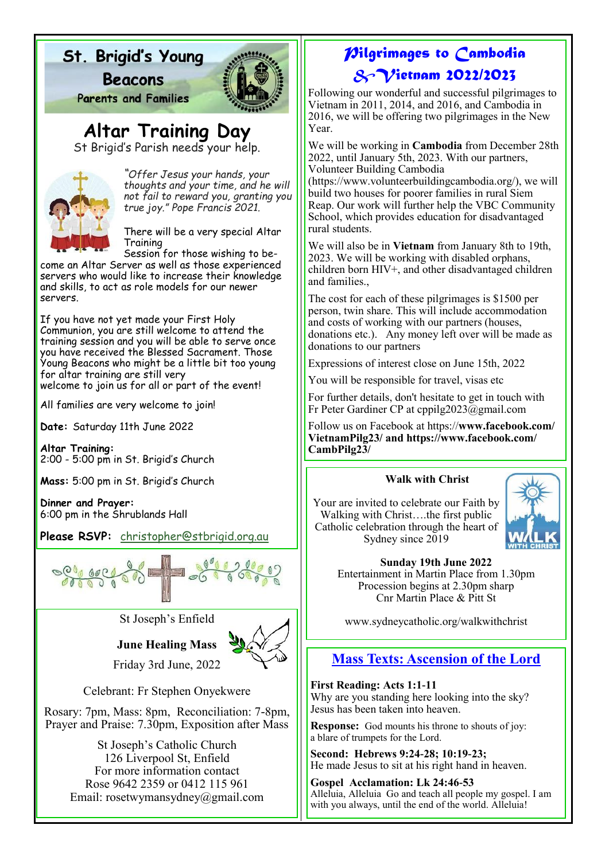# St. Brigid's Young

**Beacons** 



**Parents and Families** 

**Altar Training Day**

St Brigid's Parish needs your help.



*"Offer Jesus your hands, your thoughts and your time, and he will not fail to reward you, granting you true joy." Pope Francis 2021.*

There will be a very special Altar Training

Session for those wishing to become an Altar Server as well as those experienced servers who would like to increase their knowledge and skills, to act as role models for our newer servers.

If you have not yet made your First Holy Communion, you are still welcome to attend the training session and you will be able to serve once you have received the Blessed Sacrament. Those Young Beacons who might be a little bit too young for altar training are still very

welcome to join us for all or part of the event!

All families are very welcome to join!

**Date:** Saturday 11th June 2022

**Altar Training:** 2:00 - 5:00 pm in St. Brigid's Church

**Mass:** 5:00 pm in St. Brigid's Church

**Dinner and Prayer:** 6:00 pm in the Shrublands Hall

**Please RSVP:** [christopher@stbrigid.org.au](mailto:christopher@stbrigid.org.au)



St Joseph's Enfield

**June Healing Mass** Friday 3rd June, 2022



Celebrant: Fr Stephen Onyekwere

Rosary: 7pm, Mass: 8pm, Reconciliation: 7-8pm, Prayer and Praise: 7.30pm, Exposition after Mass

> St Joseph's Catholic Church 126 Liverpool St, Enfield For more information contact Rose 9642 2359 or 0412 115 961 Email: rosetwymansydney@gmail.com

# *Pilgrimages to Cambodia &Vietnam 2022/2023*

Following our wonderful and successful pilgrimages to Vietnam in 2011, 2014, and 2016, and Cambodia in 2016, we will be offering two pilgrimages in the New Year.

We will be working in **Cambodia** from December 28th 2022, until January 5th, 2023. With our partners, Volunteer Building Cambodia

(https://www.volunteerbuildingcambodia.org/), we will build two houses for poorer families in rural Siem Reap. Our work will further help the VBC Community School, which provides education for disadvantaged rural students.

We will also be in **Vietnam** from January 8th to 19th, 2023. We will be working with disabled orphans, children born HIV+, and other disadvantaged children and families.,

The cost for each of these pilgrimages is \$1500 per person, twin share. This will include accommodation and costs of working with our partners (houses, donations etc.). Any money left over will be made as donations to our partners

Expressions of interest close on June 15th, 2022

You will be responsible for travel, visas etc

For further details, don't hesitate to get in touch with Fr Peter Gardiner CP at cppilg2023@gmail.com

Follow us on Facebook at https://**www.facebook.com/ VietnamPilg23/ and https://www.facebook.com/ CambPilg23/** 

## **Walk with Christ**

Your are invited to celebrate our Faith by Walking with Christ….the first public Catholic celebration through the heart of Sydney since 2019



**Sunday 19th June 2022** Entertainment in Martin Place from 1.30pm

Procession begins at 2.30pm sharp Cnr Martin Place & Pitt St

www.sydneycatholic.org/walkwithchrist

# **Mass Texts: Ascension of the Lord**

**First Reading: Acts 1:1-11**  Why are you standing here looking into the sky? Jesus has been taken into heaven.

**Response:** God mounts his throne to shouts of joy: a blare of trumpets for the Lord.

**Second: Hebrews 9:24-28; 10:19-23;** He made Jesus to sit at his right hand in heaven.

**Gospel Acclamation: Lk 24:46-53** Alleluia, Alleluia Go and teach all people my gospel. I am with you always, until the end of the world. Alleluia!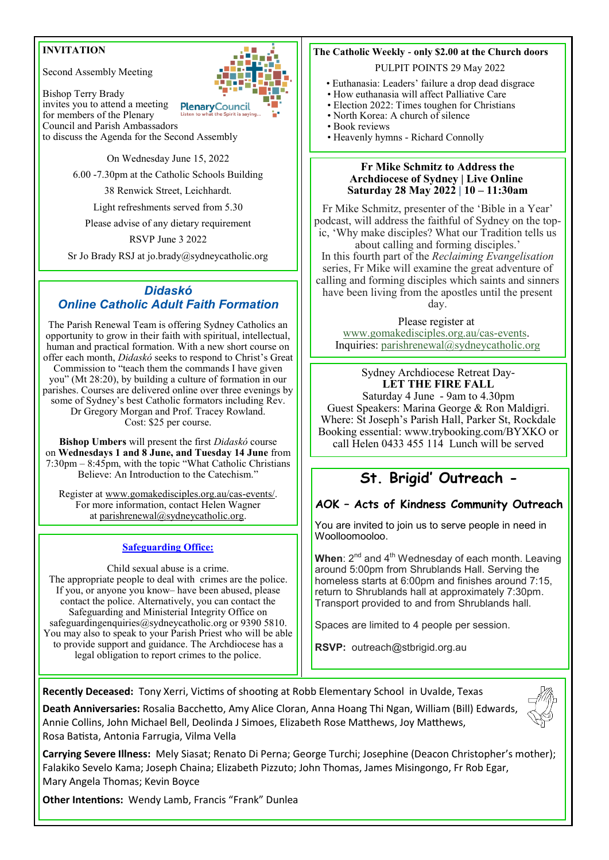## **INVITATION**

Second Assembly Meeting

invites you to attend a meeting

Bishop Terry Brady



for members of the Plenary Council and Parish Ambassadors to discuss the Agenda for the Second Assembly

On Wednesday June 15, 2022

6.00 -7.30pm at the Catholic Schools Building

38 Renwick Street, Leichhardt.

Light refreshments served from 5.30

Please advise of any dietary requirement

RSVP June 3 2022

Sr Jo Brady RSJ at jo.brady@sydneycatholic.org

## *Didaskó Online Catholic Adult Faith Formation*

The Parish Renewal Team is offering Sydney Catholics an opportunity to grow in their faith with spiritual, intellectual, human and practical formation. With a new short course on offer each month, *Didaskó* seeks to respond to Christ's Great Commission to "teach them the commands I have given you" (Mt 28:20), by building a culture of formation in our parishes. Courses are delivered online over three evenings by some of Sydney's best Catholic formators including Rev. Dr Gregory Morgan and Prof. Tracey Rowland. Cost: \$25 per course.

**Bishop Umbers** will present the first *Didaskó* course on **Wednesdays 1 and 8 June, and Tuesday 14 June** from 7:30pm – 8:45pm, with the topic "What Catholic Christians Believe: An Introduction to the Catechism."

Register at [www.gomakedisciples.org.au/cas-events/.](https://comms.sydneycatholic.org/ch/75218/bxqp8/2219737/2JH._o.1YSt_FgYWEGIDsxqITNu92ThlPqPyUpar.html) For more information, contact Helen Wagner at [parishrenewal@sydneycatholic.org.](mailto:parishrenewal@sydneycatholic.org)

#### **Safeguarding Office:**

Child sexual abuse is a crime. The appropriate people to deal with crimes are the police. If you, or anyone you know– have been abused, please contact the police. Alternatively, you can contact the Safeguarding and Ministerial Integrity Office on safeguardingenquiries@sydneycatholic.org or 9390 5810. You may also to speak to your Parish Priest who will be able to provide support and guidance. The Archdiocese has a legal obligation to report crimes to the police.

## **The Catholic Weekly - only \$2.00 at the Church doors**

PULPIT POINTS 29 May 2022

- Euthanasia: Leaders' failure a drop dead disgrace
- How euthanasia will affect Palliative Care
- Election 2022: Times toughen for Christians • North Korea: A church of silence
- Book reviews
- Heavenly hymns Richard Connolly

#### **Fr Mike Schmitz to Address the Archdiocese of Sydney | Live Online Saturday 28 May 2022 | 10 – 11:30am**

Fr Mike Schmitz, presenter of the 'Bible in a Year' podcast, will address the faithful of Sydney on the topic, 'Why make disciples? What our Tradition tells us about calling and forming disciples.'

In this fourth part of the *Reclaiming Evangelisation* series, Fr Mike will examine the great adventure of calling and forming disciples which saints and sinners have been living from the apostles until the present day.

Please register at [www.gomakedisciples.org.au/cas-events.](http://www.gomakedisciples.org.au/cas-events) Inquiries: [parishrenewal@sydneycatholic.org](mailto:parishrenewal@sydneycatholic.org)

Sydney Archdiocese Retreat Day-**LET THE FIRE FALL**  Saturday 4 June - 9am to 4.30pm Guest Speakers: Marina George & Ron Maldigri. Where: St Joseph's Parish Hall, Parker St, Rockdale Booking essential: www.trybooking.com/BYXKO or

call Helen 0433 455 114 Lunch will be served

# **St. Brigid' Outreach -**

### **AOK – Acts of Kindness Community Outreach**

You are invited to join us to serve people in need in Woolloomooloo.

**When**: 2<sup>nd</sup> and 4<sup>th</sup> Wednesday of each month. Leaving around 5:00pm from Shrublands Hall. Serving the homeless starts at 6:00pm and finishes around 7:15, return to Shrublands hall at approximately 7:30pm. Transport provided to and from Shrublands hall.

Spaces are limited to 4 people per session.

**RSVP:** outreach@stbrigid.org.au

**Recently Deceased:** Tony Xerri, Victims of shooting at Robb Elementary School in Uvalde, Texas

**Death Anniversaries:** Rosalia Bacchetto, Amy Alice Cloran, Anna Hoang Thi Ngan, William (Bill) Edwards, Annie Collins, John Michael Bell, Deolinda J Simoes, Elizabeth Rose Matthews, Joy Matthews, Rosa Batista, Antonia Farrugia, Vilma Vella

**Carrying Severe Illness:** Mely Siasat; Renato Di Perna; George Turchi; Josephine (Deacon Christopher's mother); Falakiko Sevelo Kama; Joseph Chaina; Elizabeth Pizzuto; John Thomas, James Misingongo, Fr Rob Egar, Mary Angela Thomas; Kevin Boyce

**Other Intentions:** Wendy Lamb, Francis "Frank" Dunlea